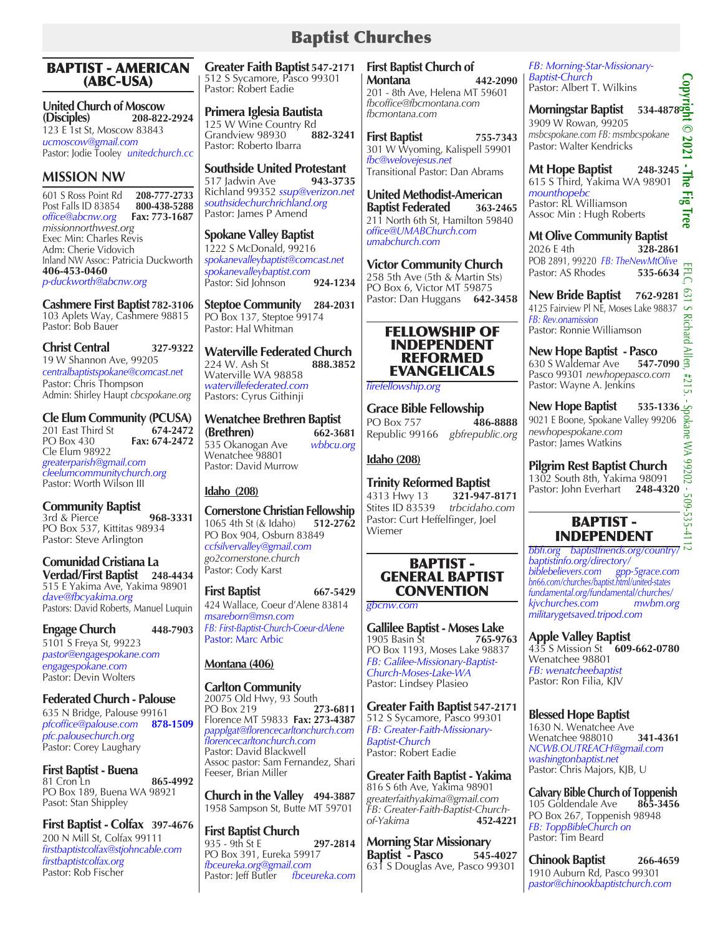# Baptist Churches

#### BAPTIST - AMERICAN (ABC-USA)

**United Church of Moscow (Disciples) 208-822-2924** 123 E 1st St, Moscow 83843 *ucmoscow@gmail.com* Pastor: Jodie Tooley *unitedchurch.cc*

# **MISSION NW**

601 S Ross Point Rd **208-777-2733** Post Falls ID 83854 **800-438-5288**  *office@abcnw.org missionnorthwest.org*  Exec Min: Charles Revis Adm: Cherie Vidovich Inland NW Assoc: Patricia Duckworth **406-453-0460** *p-duckworth@abcnw.org*

**Cashmere First Baptist 782-3106** 103 Aplets Way, Cashmere 98815 Pastor: Bob Bauer

**Christ Central 327-9322** 19 W Shannon Ave, 99205 *centralbaptistspokane@comcast.net* Pastor: Chris Thompson Admin: Shirley Haupt *cbcspokane.org*

**Cle Elum Community (PCUSA)**<br>201 East Third St 674-2472 201 East Third St<br>**PO Box 430**  $Fax: 674-2472$ Cle Elum 98922 *greaterparish@gmail.com cleelumcommunitychurch.org* Pastor: Worth Wilson III

**Community Baptist**  3rd & Pierce **968-3331** PO Box 537, Kittitas 98934 Pastor: Steve Arlington

**Comunidad Cristiana La Verdad/First Baptist 248-4434** 515 E Yakima Ave, Yakima 98901 *dave@fbcyakima.org* Pastors: David Roberts, Manuel Luquin

## **Engage Church 448-7903**

5101 S Freya St, 99223 *pastor@engagespokane.com engagespokane.com* Pastor: Devin Wolters

# **Federated Church - Palouse**

635 N Bridge, Palouse 99161 *pfcoffice@palouse.com* **878-1509** *pfc.palousechurch.org* Pastor: Corey Laughary

**First Baptist - Buena** 81 Cron Ln **865-4992** PO Box 189, Buena WA 98921 Pasot: Stan Shippley

**First Baptist - Colfax 397-4676** 200 N Mill St, Colfax 99111 *firstbaptistcolfax@stjohncable.com firstbaptistcolfax.org*  Pastor: Rob Fischer

**Greater Faith Baptist 547-2171** 512 S Sycamore, Pasco 99301 Pastor: Robert Eadie

**Primera Iglesia Bautista** 125 W Wine Country Rd<br>Grandview 98930 882-3241 Grandview 98930 Pastor: Roberto Ibarra

**Southside United Protestant**<br>517 Jadwin Ave 943-3735 517 Jadwin Ave **943-3735** Richland 99352 *ssup@verizon.net southsidechurchrichland.org* Pastor: James P Amend

# **Spokane Valley Baptist** 1222 S McDonald, 99216

*spokanevalleybaptist@comcast.net spokanevalleybaptist.com* Pastor: Sid Johnson **924-1234**

**Steptoe Community 284-2031** PO Box 137, Steptoe 99174 Pastor: Hal Whitman

**Waterville Federated Church**<br>224 W. Ash St **888.3852** 224 W. Ash St Waterville WA 98858 *watervillefederated.com* Pastors: Cyrus Githinji

**Wenatchee Brethren Baptist (Brethren)** 662-3681<br> **662-3681**<br> **662-3681**<br> **662-3681** 535 Okanogan Ave Wenatchee 98801 Pastor: David Murrow

# **Idaho (208)**

**Cornerstone Christian Fellowship** 1065 4th St (& Idaho) **512-2762** PO Box 904, Osburn 83849 *ccfsilvervalley@gmail.com go2cornerstone.church* Pastor: Cody Karst

**First Baptist 667-5429** 424 Wallace, Coeur d'Alene 83814 *msareborn@msn.com FB: First-Baptist-Church-Coeur-dAlene* Pastor: Marc Arbic

## **Montana (406)**

**Carlton Community** 20075 Old Hwy, 93 South<br>PO Box 219 273-6811 PO Box 219 Florence MT 59833 **Fax: 273-4387** *papplgat@florencecarltonchurch.com florencecarltonchurch.com* Pastor: David Blackwell Assoc pastor: Sam Fernandez, Shari Feeser, Brian Miller

**Church in the Valley 494-3887** 1958 Sampson St, Butte MT 59701

**First Baptist Church** 935 - 9th St E **297-2814** PO Box 391, Eureka 59917 *fbceureka.org@gmail.com* Pastor: Jeff Butler *fbceureka.com*

**First Baptist Church of Montana 442-2090** 201 - 8th Ave, Helena MT 59601 *fbcoffice@fbcmontana.com fbcmontana.com*

**First Baptist 755-7343** 301 W Wyoming, Kalispell 59901 *fbc@welovejesus.net* Transitional Pastor: Dan Abrams

**United Methodist-American Baptist Federated 363-2465** 211 North 6th St, Hamilton 59840 *office@UMABChurch.com umabchurch.com*

**Victor Community Church** 258 5th Ave (5th & Martin Sts) PO Box 6, Victor MT 59875 Pastor: Dan Huggans **642-3458**

#### FELLOWSHIP OF INDEPENDENT REFORMED EVANGELICALS

*firefellowship.org*

**Grace Bible Fellowship**<br>PO Box 757 **486-8888 PO Box 757** Republic 99166 *gbfrepublic.org*

#### **Idaho (208)**

**Trinity Reformed Baptist**  4313 Hwy 13 **321-947-8171** Stites ID 83539 Pastor: Curt Heffelfinger, Joel Wiemer

## BAPTIST - GENERAL BAPTIST **CONVENTION**

*gbcnw.com*

**Gallilee Baptist - Moses Lake**<br>1905 Basin St **1905** 765-9763 1905 Basin St PO Box 1193, Moses Lake 98837 *FB: Galilee-Missionary-Baptist-Church-Moses-Lake-WA* Pastor: Lindsey Plasieo

**Greater Faith Baptist 547-2171** 512 S Sycamore, Pasco 99301 *FB: Greater-Faith-Missionary-Baptist-Church* Pastor: Robert Eadie

**Greater Faith Baptist - Yakima** 816 S 6th Ave, Yakima 98901 *greaterfaithyakima@gmail.com FB: Greater-Faith-Baptist-Churchof-Yakima* **452-4221**

**Morning Star Missionary Baptist - Pasco 545-4027** 631 S Douglas Ave, Pasco 99301

*FB: Morning-Star-Missionary-Baptist-Church* Pastor: Albert T. Wilkins

**Baptist-Church**<br>Pastor: Albert T. Wilkins<br>**Morningstar Baptist** 534-4878<sup>0</sup>9 3909 W Rowan, 99205 *msbcspokane.com FB: msmbcspokane* Pastor: Walter Kendricks

**Mt Hope Baptist 248-3245** 615 S Third, Yakima WA 98901 *mounthopebc* Pastor: RL Williamson Assoc Min : Hugh Roberts

**Mt Olive Community Baptist** 2026 E 4th **328-2861** POB 2891, 99220 *FB: TheNewMtOlive* Pastor: AS Rhodes

**New Bride Baptist 762-9281** 4125 Fairview Pl NE, Moses Lake 98837 *FB: Rev.onamission* Pastor: Ronnie Williamson

**New Hope Baptist - Pasco** 630 S Waldemar Ave **547-7090** Pasco 99301 *newhopepasco.com* Pastor: Wayne A. Jenkins

**New Hope Baptist** 535-1336<br>
9021 E Boone, Spokane Valley 99206<br>
newhopespokane.com<br>
A Midding 9021 E Boone, Spokane Valley 99206 *newhopespokane.com* Pastor: James Watkins

**Pilgrim Rest Baptist Church** 1302 South 8th, Yakima 98091 Pastor: John Everhart **248-4320**

# BAPTIST - INDEPENDENT

*bbfi.org baptistfriends.org/country/ baptistinfo.org/directory/ biblebelievers.com gpp-5grace.com bn66.com/churches/baptist.html/united-states fundamental.org/fundamental/churches/ kjvchurches.com mwbm.org militarygetsaved.tripod.com*

**Apple Valley Baptist**

435 S Mission St **609-662-0780** Wenatchee 98801

*FB: wenatcheebaptist* Pastor: Ron Filia, KJV

# **Blessed Hope Baptist**

1630 N. Wenatchee Ave Wenatchee 988010 **341-4361** *NCWB.OUTREACH@gmail.com washingtonbaptist.net*  Pastor: Chris Majors, KJB, U

**Calvary Bible Church of Toppenish**  105 Goldendale Ave PO Box 267, Toppenish 98948 *FB: ToppBibleChurch on* Pastor: Tim Beard

**Chinook Baptist 266-4659** 1910 Auburn Rd, Pasco 99301 *pastor@chinookbaptistchurch.com*

 $-509 - 535 - 4$ 

 $\odot$ 2021 ×,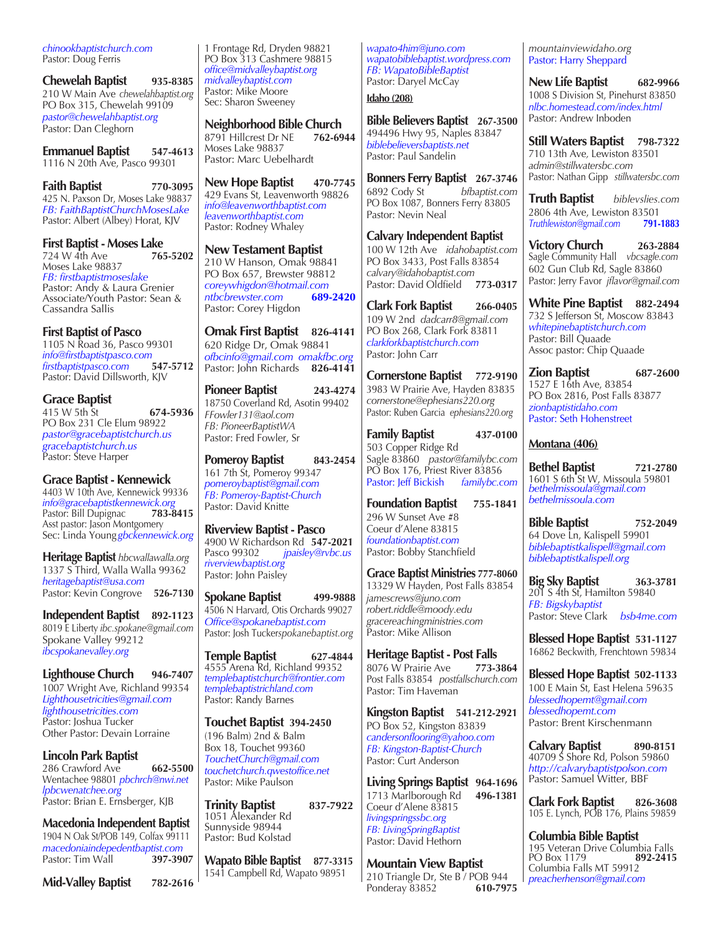*chinookbaptistchurch.com* Pastor: Doug Ferris

**Chewelah Baptist 935-8385** 210 W Main Ave *chewelahbaptist.org* PO Box 315, Chewelah 99109 *pastor@chewelahbaptist.org* Pastor: Dan Cleghorn

**Emmanuel Baptist 547-4613** 1116 N 20th Ave, Pasco 99301

**Faith Baptist 770-3095** 425 N. Paxson Dr, Moses Lake 98837 *FB: FaithBaptistChurchMosesLake* Pastor: Albert (Albey) Horat, KJV

**First Baptist - Moses Lake**<br>724 W 4th Ave **765-5202** 724 W 4th Ave Moses Lake 98837 *FB: firstbaptistmoseslake* Pastor: Andy & Laura Grenier Associate/Youth Pastor: Sean & Cassandra Sallis

**First Baptist of Pasco**  1105 N Road 36, Pasco 99301 *info@firstbaptistpasco.com firstbaptistpasco.com* **547-5712** Pastor: David Dillsworth, KJV

#### **Grace Baptist** 415 W 5th St **674-5936** PO Box 231 Cle Elum 98922 *pastor@gracebaptistchurch.us gracebaptistchurch.us* Pastor: Steve Harper

**Grace Baptist - Kennewick** 4403 W 10th Ave, Kennewick 99336 *info@gracebaptistkennewick.org* Pastor: Bill Dupignac Asst pastor: Jason Montgomery Sec: Linda Young*gbckennewick.org*

**Heritage Baptist** *hbcwallawalla.org* 1337 S Third, Walla Walla 99362 *heritagebaptist@usa.com* Pastor: Kevin Congrove **526-7130**

**Independent Baptist 892-1123** 8019 E Liberty *ibc.spokane@gmail.com* Spokane Valley 99212 *ibcspokanevalley.org*

**Lighthouse Church 946-7407**  1007 Wright Ave, Richland 99354 *Lighthousetricities@gmail.com lighthousetricities.com* Pastor: Joshua Tucker Other Pastor: Devain Lorraine

**Lincoln Park Baptist** 286 Crawford Ave **662-5500** Wentachee 98801 *pbchrch@nwi.net lpbcwenatchee.org*  Pastor: Brian E. Ernsberger, KJB

**Macedonia Independent Baptist** 1904 N Oak St/POB 149, Colfax 99111 *macedoniaindepedentbaptist.com* Pastor: Tim Wall **397-3907**

**Mid-Valley Baptist 782-2616**

1 Frontage Rd, Dryden 98821 PO Box 313 Cashmere 98815 *office@midvalleybaptist.org midvalleybaptist.com* Pastor: Mike Moore Sec: Sharon Sweeney

**Neighborhood Bible Church**<br>8791 Hillcrest Dr NE 762-6944 8791 Hillcrest Dr NE Moses Lake 98837 Pastor: Marc Uebelhardt

New Hope Baptist 470-7745 429 Evans St, Leavenworth 98826 *info@leavenworthbaptist.com leavenworthbaptist.com* Pastor: Rodney Whaley

**New Testament Baptist**  210 W Hanson, Omak 98841 PO Box 657, Brewster 98812 *coreywhigdon@hotmail.com ntbcbrewster.com* **689-2420** Pastor: Corey Higdon

**Omak First Baptist 826-4141** 620 Ridge Dr, Omak 98841 *ofbcinfo@gmail.com omakfbc.org* Pastor: John Richards **826-4141**

**Pioneer Baptist 243-4274** 18750 Coverland Rd, Asotin 99402 *FFowler131@aol.com FB: PioneerBaptistWA*  Pastor: Fred Fowler, Sr

**Pomeroy Baptist** 843-2454 161 7th St, Pomeroy 99347 *pomeroybaptist@gmail.com FB: Pomeroy-Baptist-Church* Pastor: David Knitte

**Riverview Baptist - Pasco** 4900 W Richardson Rd **547-2021** *jpaisley@rvbc.us riverviewbaptist.org*  Pastor: John Paisley

**Spokane Baptist 499-9888** 4506 N Harvard, Otis Orchards 99027 *Office@spokanebaptist.com* Pastor: Josh Tucker*spokanebaptist.org*

**Temple Baptist 627-4844** 4555 Arena Rd, Richland 99352 *templebaptistchurch@frontier.com templebaptistrichland.com* Pastor: Randy Barnes

**Touchet Baptist 394-2450** (196 Balm) 2nd & Balm Box 18, Touchet 99360 *TouchetChurch@gmail.com touchetchurch.qwestoffice.net* Pastor: Mike Paulson

**Trinity Baptist 837-7922** 1051 Alexander Rd Sunnyside 98944 Pastor: Bud Kolstad

**Wapato Bible Baptist 877-3315** 1541 Campbell Rd, Wapato 98951

*wapato4him@juno.com wapatobiblebaptist.wordpress.com FB: WapatoBibleBaptist* Pastor: Daryel McCay

**Idaho (208)**

**Bible Believers Baptist 267-3500** 494496 Hwy 95, Naples 83847 *biblebelieversbaptists.net* Pastor: Paul Sandelin

**Bonners Ferry Baptist 267-3746** 6892 Cody St *bfbaptist.com* PO Box 1087, Bonners Ferry 83805 Pastor: Nevin Neal

**Calvary Independent Baptist** 100 W 12th Ave *idahobaptist.com* PO Box 3433, Post Falls 83854 *calvary@idahobaptist.com*  Pastor: David Oldfield

**Clark Fork Baptist 266-0405** 109 W 2nd *dadcarr8@gmail.com* PO Box 268, Clark Fork 83811 *clarkforkbaptistchurch.com*  Pastor: John Carr

**Cornerstone Baptist 772-9190** 3983 W Prairie Ave, Hayden 83835 *cornerstone@ephesians220.org* Pastor: Ruben Garcia *ephesians220.org*

**Family Baptist 437-0100** 503 Copper Ridge Rd Sagle 83860 *pastor@familybc.com* PO Box 176, Priest River 83856 Pastor: Jeff Bickish *familybc.com*

**Foundation Baptist 755-1841** 296 W Sunset Ave #8 Coeur d'Alene 83815 *foundationbaptist.com* Pastor: Bobby Stanchfield

**Grace Baptist Ministries 777-8060** 13329 W Hayden, Post Falls 83854 *jamescrews@juno.com robert.riddle@moody.edu gracereachingministries.com* Pastor: Mike Allison

**Heritage Baptist - Post Falls** 8076 W Prairie Ave **773-3864** Post Falls 83854 *postfallschurch.com* Pastor: Tim Haveman

**Kingston Baptist 541-212-2921** PO Box 52, Kingston 83839 *candersonflooring@yahoo.com FB: Kingston-Baptist-Church* Pastor: Curt Anderson

**Living Springs Baptist 964-1696** 1713 Marlborough Rd **496-1381** Coeur d'Alene 83815 *livingspringssbc.org FB: LivingSpringBaptist* Pastor: David Hethorn

**Mountain View Baptist** 210 Triangle Dr, Ste B / POB 944<br>Ponderav 83852 610-7975 **Ponderay 83852** 

*mountainviewidaho.org* Pastor: Harry Sheppard

**New Life Baptist 682-9966** 1008 S Division St, Pinehurst 83850 *nlbc.homestead.com/index.html* Pastor: Andrew Inboden

**Still Waters Baptist 798-7322** 710 13th Ave*,* Lewiston 83501 *admin@stillwatersbc.com* Pastor: Nathan Gipp *stillwatersbc.com*

**Truth Baptist** *biblevslies.com* 2806 4th Ave, Lewiston 83501 *Truthlewiston@gmail.com* **791-1883**

**Victory Church 263-2884** Sagle Community Hall *vbcsagle.com* 602 Gun Club Rd, Sagle 83860 Pastor: Jerry Favor *jflavor@gmail.com*

**White Pine Baptist 882-2494** 732 S Jefferson St, Moscow 83843 *whitepinebaptistchurch.com* Pastor: Bill Quaade Assoc pastor: Chip Quaade

**Zion Baptist 687-2600** 1527 E 16th Ave, 83854 PO Box 2816, Post Falls 83877 *zionbaptistidaho.com* Pastor: Seth Hohenstreet

**Montana (406)**

**Bethel Baptist 721-2780** 1601 S 6th St W, Missoula 59801 *bethelmissoula@gmail.com bethelmissoula.com*

**Bible Baptist 752-2049** 64 Dove Ln, Kalispell 59901 *biblebaptistkalispell@gmail.com biblebaptistkalispell.org*

**Big Sky Baptist 363-3781** 201 S 4th St, Hamilton 59840 *FB: Bigskybaptist* Pastor: Steve Clark *bsb4me.com*

**Blessed Hope Baptist 531-1127** 16862 Beckwith, Frenchtown 59834

**Blessed Hope Baptist 502-1133** 100 E Main St, East Helena 59635 *blessedhopemt@gmail.com blessedhopemt.com* Pastor: Brent Kirschenmann

**Calvary Baptist 890-8151** 40709 S Shore Rd, Polson 59860 *http://calvarybaptistpolson.com* Pastor: Samuel Witter, BBF

**Clark Fork Baptist 826-3608** 105 E. Lynch, POB 176, Plains 59859

**Columbia Bible Baptist** 195 Veteran Drive Columbia Falls PO Box 1179 **892-2415** Columbia Falls MT 59912 *preacherhenson@gmail.com*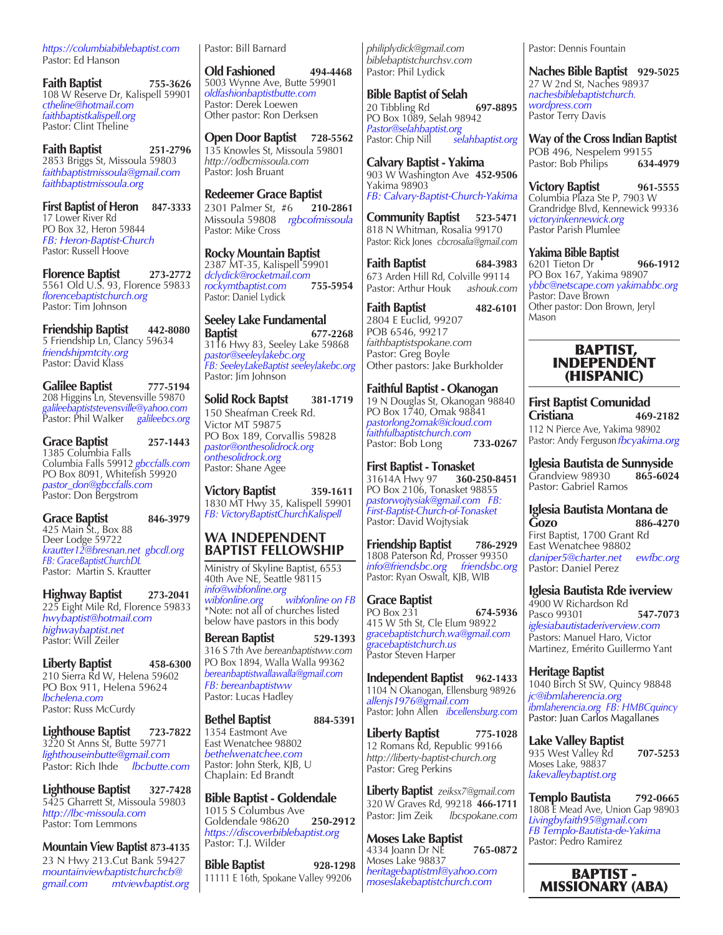*https://columbiabiblebaptist.com* Pastor: Ed Hanson

**Faith Baptist 755-3626** 108 W Reserve Dr, Kalispell 59901 *ctheline@hotmail.com faithbaptistkalispell.org* Pastor: Clint Theline

**Faith Baptist 251-2796** 2853 Briggs St, Missoula 59803 *faithbaptistmissoula@gmail.com faithbaptistmissoula.org*

**First Baptist of Heron 847-3333** 17 Lower River Rd PO Box 32, Heron 59844 *FB: Heron-Baptist-Church* Pastor: Russell Hoove

**Florence Baptist 273-2772** 5561 Old U.S. 93, Florence 59833 *florencebaptistchurch.org* Pastor: Tim Johnson

**Friendship Baptist 442-8080** 5 Friendship Ln, Clancy 59634 *friendshipmtcity.org* Pastor: David Klass

**Galilee Baptist 777-5194** 208 Higgins Ln, Stevensville 59870 *galileebaptiststevensville@yahoo.com* Pastor: Phil Walker *galileebcs.org* 

**Grace Baptist 257-1443** 1385 Columbia Falls Columbia Falls 59912 *gbccfalls.com* PO Box 8091, Whitefish 59920 *pastor\_don@gbccfalls.com* Pastor: Don Bergstrom

**Grace Baptist 846-3979** 425 Main St., Box 88 Deer Lodge 59722 *krautter12@bresnan.net gbcdl.org FB: GraceBaptistChurchDL* Pastor: Martin S. Krautter

**Highway Baptist 273-2041** 225 Eight Mile Rd, Florence 59833 *hwybaptist@hotmail.com highwaybaptist.net* Pastor: Will Zeiler

**Liberty Baptist 458-6300** 210 Sierra Rd W, Helena 59602 PO Box 911, Helena 59624 *lbchelena.com* Pastor: Russ McCurdy

**Lighthouse Baptist 723-7822** 3220 St Anns St, Butte 59771 *lighthouseinbutte@gmail.com* Pastor: Rich Ihde *lbcbutte.com*

**Lighthouse Baptist 327-7428** 5425 Gharrett St, Missoula 59803 *http://lbc-missoula.com* Pastor: Tom Lemmons

**Mountain View Baptist 873-4135**

23 N Hwy 213.Cut Bank 59427 *mountainviewbaptistchurchcb@ gmail.com mtviewbaptist.org* Pastor: Bill Barnard

**Old Fashioned 494-4468** 5003 Wynne Ave, Butte 59901 *oldfashionbaptistbutte.com* Pastor: Derek Loewen Other pastor: Ron Derksen

**Open Door Baptist 728-5562** 135 Knowles St, Missoula 59801 *http://odbcmissoula.com* Pastor: Josh Bruant

**Redeemer Grace Baptist** 2301 Palmer St, #6 **210-2861** Missoula 59808 *rgbcofmissoula* Pastor: Mike Cross

**Rocky Mountain Baptist** 2387 MT-35, Kalispell 59901 *dclydick@rocketmail.com rockymtbaptist.com* **755-5954** Pastor: Daniel Lydick

**Seeley Lake Fundamental Baptist 677-2268** 3116 Hwy 83, Seeley Lake 59868 *pastor@seeleylakebc.org FB: SeeleyLakeBaptist seeleylakebc.org* Pastor: Jim Johnson

**Solid Rock Baptst 381-1719** 150 Sheafman Creek Rd. Victor MT 59875 PO Box 189, Corvallis 59828 *pastor@onthesolidrock.org onthesolidrock.org*  Pastor: Shane Agee

**Victory Baptist 359-1611** 1830 MT Hwy 35, Kalispell 59901 *FB: VictoryBaptistChurchKalispell*

## **WA INDEPENDENT BAPTIST FELLOWSHIP**

Ministry of Skyline Baptist, 6553 40th Ave NE, Seattle 98115 *info@wibfonline.org wibfonline.org wibfonline on FB* \*Note: not all of churches listed below have pastors in this body

**Berean Baptist 529-1393** 316 S 7th Ave *bereanbaptistww.com* PO Box 1894, Walla Walla 99362 *bereanbaptistwallawalla@gmail.com FB: bereanbaptistww* Pastor: Lucas Hadley

**Bethel Baptist 884-5391** 1354 Eastmont Ave East Wenatchee 98802 *bethelwenatchee.com* Pastor: John Sterk, KJB, U Chaplain: Ed Brandt

**Bible Baptist - Goldendale** 1015 S Columbus Ave Goldendale 98620 **250-2912** *https://discoverbiblebaptist.org* Pastor: T.J. Wilder

**Bible Baptist 928-1298** 11111 E 16th, Spokane Valley 99206

*philiplydick@gmail.com biblebaptistchurchsv.com* Pastor: Phil Lydick

**Bible Baptist of Selah** 20 Tibbling Rd **697-8895** PO Box 1089, Selah 98942 *Pastor@selahbaptist.org* Pastor: Chip Nill

**Calvary Baptist - Yakima** 903 W Washington Ave **452-9506** Yakima 98903 *FB: Calvary-Baptist-Church-Yakima*

**Community Baptist 523-5471** 818 N Whitman, Rosalia 99170 Pastor: Rick Jones *cbcrosalia@gmail.com*

**Faith Baptist 684-3983** 673 Arden Hill Rd, Colville 99114 Pastor: Arthur Houk *ashouk.com*

**Faith Baptist 482-6101** 2804 E Euclid, 99207 POB 6546, 99217 *faithbaptistspokane.com* Pastor: Greg Boyle Other pastors: Jake Burkholder

**Faithful Baptist - Okanogan**  19 N Douglas St, Okanogan 98840 PO Box 1740, Omak 98841 *pastorlong2omak@icloud.com faithfulbaptistchurch.com*  Pastor: Bob Long

**First Baptist - Tonasket**  31614A Hwy 97 **360-250-8451** PO Box 2106, Tonasket 98855 *pastorwojtysiak@gmail.com FB: First-Baptist-Church-of-Tonasket* Pastor: David Wojtysiak

**Friendship Baptist 786-2929** 1808 Paterson Rd, Prosser 99350<br>
info@friendsbc.org friendsbc.org *info@friendsbc.org friendsbc.org* Pastor: Ryan Oswalt, KJB, WIB

**Grace Baptist**  PO Box 231 **674-5936** 415 W 5th St, Cle Elum 98922 *gracebaptistchurch.wa@gmail.com gracebaptistchurch.us* Pastor Steven Harper

**Independent Baptist 962-1433**  1104 N Okanogan, Ellensburg 98926 *allenjs1976@gmail.com* Pastor: John Allen *ibcellensburg.com*

**Liberty Baptist 775-1028** 12 Romans Rd, Republic 99166 *http://liberty-baptist-church.org* Pastor: Greg Perkins

**Liberty Baptist** *zeiksx7@gmail.com* 320 W Graves Rd, 99218 **466-1711** Pastor: Jim Zeik *lbcspokane.com*

**Moses Lake Baptist** 4334 Joann Dr NE **765-0872** Moses Lake 98837 *heritagebaptistml@yahoo.com moseslakebaptistchurch.com*

Pastor: Dennis Fountain

**Naches Bible Baptist 929-5025** 27 W 2nd St, Naches 98937 *nachesbiblebaptistchurch. wordpress.com* Pastor Terry Davis

**Way of the Cross Indian Baptist** POB 496, Nespelem 99155 Pastor: Bob Philips **634-4979**

**Victory Baptist 961-5555** Columbia Plaza Ste P, 7903 W Grandridge Blvd, Kennewick 99336 *victoryinkennewick.org* Pastor Parish Plumlee

**Yakima Bible Baptist** 6201 Tieton Dr **966-1912** PO Box 167, Yakima 98907 *ybbc@netscape.com yakimabbc.org*  Pastor: Dave Brown Other pastor: Don Brown, Jeryl Mason

#### BAPTIST, INDEPENDENT (HISPANIC)

**First Baptist Comunidad Cristiana 469-2182** 112 N Pierce Ave, Yakima 98902 Pastor: Andy Ferguson *fbcyakima.org*

**Iglesia Bautista de Sunnyside** Grandview 98930 **865-6024** Pastor: Gabriel Ramos

**Iglesia Bautista Montana de Gozo 886-4270** First Baptist, 1700 Grant Rd East Wenatchee 98802 *daniper5@charter.net ewfbc.org* Pastor: Daniel Perez

**Iglesia Bautista Rde iverview** 4900 W Richardson Rd Pasco 99301 **547-7073** *iglesiabautistaderiverview.com* Pastors: Manuel Haro, Victor Martinez, Emérito Guillermo Yant

**Heritage Baptist** 1040 Birch St SW, Quincy 98848 *jc@ibmlaherencia.org ibmlaherencia.org FB: HMBCquincy* Pastor: Juan Carlos Magallanes

**Lake Valley Baptist** 935 West Valley Rd **707-5253**  Moses Lake, 98837 *lakevalleybaptist.org*

**Templo Bautista 792-0665** 1808 E Mead Ave, Union Gap 98903 *Livingbyfaith95@gmail.com FB Templo-Bautista-de-Yakima* Pastor: Pedro Ramirez

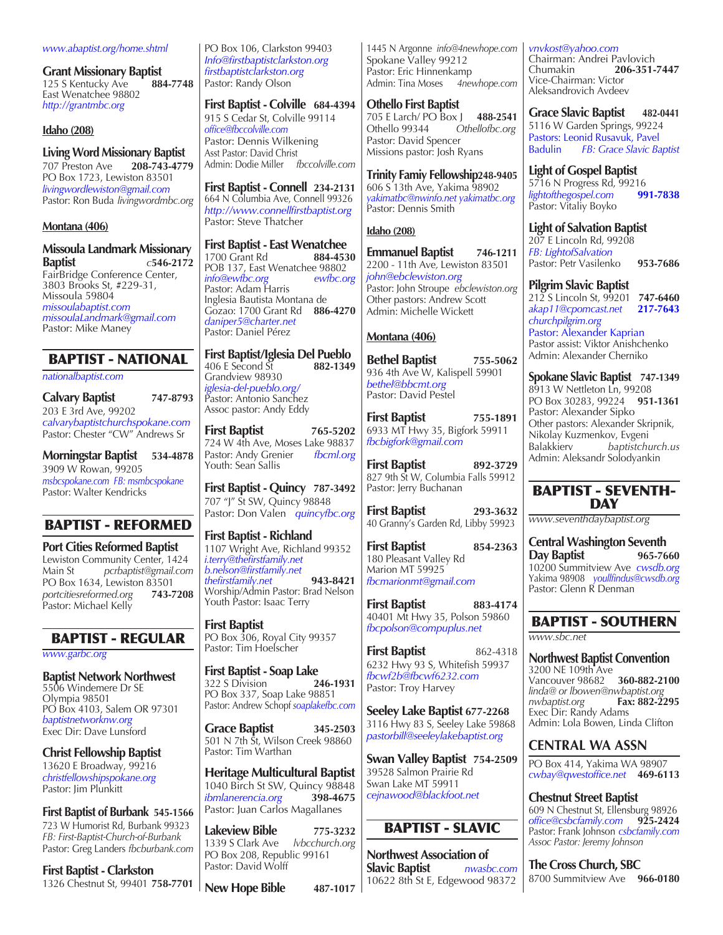#### *www.abaptist.org/home.shtml*

**Grant Missionary Baptist**<br>125 S Kentucky Ave 884-7748 125 S Kentucky Ave East Wenatchee 98802 *http://grantmbc.org*

#### **Idaho (208)**

**Living Word Missionary Baptist**  707 Preston Ave **208-743-4779**  PO Box 1723, Lewiston 83501 *livingwordlewiston@gmail.com* Pastor: Ron Buda *livingwordmbc.org*

#### **Montana (406)**

**Missoula Landmark Missionary Baptist** *c***546-2172** FairBridge Conference Center, 3803 Brooks St, #229-31, Missoula 59804 *missoulabaptist.com missoulaLandmark@gmail.com*

# BAPTIST - NATIONAL

*nationalbaptist.com*

Pastor: Mike Maney

**Calvary Baptist 747-8793** 203 E 3rd Ave, 99202 *calvarybaptistchurchspokane.com* Pastor: Chester "CW" Andrews Sr

**Morningstar Baptist 534-4878** 3909 W Rowan, 99205 *msbcspokane.com FB: msmbcspokane* Pastor: Walter Kendricks

# BAPTIST - REFORMED

**Port Cities Reformed Baptist**  Lewiston Community Center, 1424<br>Main St perbaptist@gmail.com Main St *pcrbaptist@gmail.com* PO Box 1634, Lewiston 83501<br>portcitiesreformed.org 743-7208  $portcitiesreformed.org$ Pastor: Michael Kelly

# BAPTIST - REGULAR

*www.garbc.org*

**Baptist Network Northwest** 5506 Windemere Dr SE Olympia 98501 PO Box 4103, Salem OR 97301 *baptistnetworknw.org*  Exec Dir: Dave Lunsford

**Christ Fellowship Baptist** 13620 E Broadway, 99216 *christfellowshipspokane.org* Pastor: Jim Plunkitt

**First Baptist of Burbank 545-1566** 723 W Humorist Rd, Burbank 99323 *FB: First-Baptist-Church-of-Burbank* Pastor: Greg Landers *fbcburbank.com*

**First Baptist - Clarkston** 1326 Chestnut St, 99401 **758-7701** PO Box 106, Clarkston 99403 *Info@firstbaptistclarkston.org firstbaptistclarkston.org*  Pastor: Randy Olson

**First Baptist - Colville 684-4394** 915 S Cedar St, Colville 99114

*office@fbccolville.com* Pastor: Dennis Wilkening Asst Pastor: David Christ Admin: Dodie Miller *fbccolville.com*

**First Baptist - Connell 234-2131** 664 N Columbia Ave, Connell 99326 *http://www.connellfirstbaptist.org* Pastor: Steve Thatcher

**First Baptist - East Wenatchee**<br>1700 Grant Rd **884-4530** 

1700 Grant Rd POB 137, East Wenatchee 98802 *info@ewfbc.org ewfbc.org* Pastor: Adam Harris Inglesia Bautista Montana de Gozao: 1700 Grant Rd **886-4270** *daniper5@charter.net* Pastor: Daniel Pérez

**First Baptist/Iglesia Del Pueblo** 406 E Second St **882-1349** Grandview 98930 *iglesia-del-pueblo.org/* Pastor: Antonio Sanchez Assoc pastor: Andy Eddy

**First Baptist 765-5202** 724 W 4th Ave, Moses Lake 98837 Pastor: Andy Grenier *fbcml.org* Youth: Sean Sallis

**First Baptist - Quincy 787-3492** 707 "J" St SW, Quincy 98848 Pastor: Don Valen *quincyfbc.org*

**First Baptist - Richland** 1107 Wright Ave, Richland 99352 *i.terry@thefirstfamily.net b.nelson@firstfamily.net thefirstfamily.net* **943-8421** Worship/Admin Pastor: Brad Nelson Youth Pastor: Isaac Terry

**First Baptist** PO Box 306, Royal City 99357 Pastor: Tim Hoelscher

**First Baptist - Soap Lake**<br>322 S Division **246-1931** 322 S Division **246-1931** PO Box 337, Soap Lake 98851 Pastor: Andrew Schopf *soaplakefbc.com*

**Grace Baptist 345-2503** 501 N 7th St, Wilson Creek 98860 Pastor: Tim Warthan

**Heritage Multicultural Baptist** 1040 Birch St SW, Quincy 98848<br>
ibmlanerencia.org 398-4675  $ibmlanerencia.org$ Pastor: Juan Carlos Magallanes

**Lakeview Bible 775-3232** 1339 S Clark Ave PO Box 208, Republic 99161 Pastor: David Wolff

**New Hope Bible 487-1017**

1445 N Argonne *info@4newhope.com* Spokane Valley 99212 Pastor: Eric Hinnenkamp<br>Admin: Tina Moses 4newhope.com Admin: Tina Moses

**Othello First Baptist**  705 E Larch/ PO Box J **488-2541** Othellofbc.org Pastor: David Spencer Missions pastor: Josh Ryans

**Trinity Famiy Fellowship248-9405** 606 S 13th Ave, Yakima 98902 *yakimatbc@nwinfo.net yakimatbc.org*  Pastor: Dennis Smith

# **Idaho (208)**

**Emmanuel Baptist 746-1211** 2200 - 11th Ave*,* Lewiston 83501 *john@ebclewiston.org* Pastor: John Stroupe *ebclewiston.org* Other pastors: Andrew Scott Admin: Michelle Wickett

#### **Montana (406)**

**Bethel Baptist 755-5062** 936 4th Ave W, Kalispell 59901 *bethel@bbcmt.org* Pastor: David Pestel

**First Baptist 755-1891** 6933 MT Hwy 35, Bigfork 59911 *fbcbigfork@gmail.com*

**First Baptist 892-3729** 827 9th St W, Columbia Falls 59912 Pastor: Jerry Buchanan

**First Baptist 293-3632** 40 Granny's Garden Rd, Libby 59923

**First Baptist 854-2363** 180 Pleasant Valley Rd Marion MT 59925 *fbcmarionmt@gmail.com*

**First Baptist 883-4174** 40401 Mt Hwy 35, Polson 59860 *fbcpolson@compuplus.net*

**First Baptist** 862-4318 6232 Hwy 93 S, Whitefish 59937 *fbcwf2b@fbcwf6232.com* Pastor: Troy Harvey

**Seeley Lake Baptist 677-2268** 3116 Hwy 83 S, Seeley Lake 59868 *pastorbill@seeleylakebaptist.org*

**Swan Valley Baptist 754-2509** 39528 Salmon Prairie Rd Swan Lake MT 59911 *cejnawood@blackfoot.net*

# BAPTIST - SLAVIC

**Northwest Association of Slavic Baptist** *nwasbc.com* 10622 8th St E, Edgewood 98372 *vnvkost@yahoo.com* Chairman: Andrei Pavlovich<br>Chumakin **206-351-**Chumakin **206-351-7447** Vice-Chairman: Victor Aleksandrovich Avdeev

**Grace Slavic Baptist 482-0441** 5116 W Garden Springs, 99224 Pastors: Leonid Rusavuk, Pavel<br>Badulin FB: Grace Slavic Ba  $FB:$  *Grace Slavic Baptist* 

**Light of Gospel Baptist**  5716 N Progress Rd, 99216  $light of the gospel.com$ Pastor: Vitaliy Boyko

**Light of Salvation Baptist** 207 E Lincoln Rd, 99208 *FB: LightofSalvation* Pastor: Petr Vasilenko **953-7686**

**Pilgrim Slavic Baptist** 

212 S Lincoln St, 99201 **747-6460** *akap11@cpomcast.net* **217-7643** *churchpilgrim.org* 

Pastor: Alexander Kaprian Pastor assist: Viktor Anishchenko Admin: Alexander Cherniko

**Spokane Slavic Baptist 747-1349** 8913 W Nettleton Ln, 99208 PO Box 30283, 99224 **951-1361** Pastor: Alexander Sipko Other pastors: Alexander Skripnik, Nikolay Kuzmenkov, Evgeni<br>Balakkierv bantistchu  $b$ aptistchurch.us Admin: Aleksandr Solodyankin

#### BAPTIST - SEVENTH-DAY

*www.seventhdaybaptist.org*

**Central Washington Seventh Day Baptist 965-7660** 10200 Summitview Ave *cwsdb.org* Yakima 98908 *youllfindus@cwsdb.org* Pastor: Glenn R Denman

# BAPTIST - SOUTHERN

*www.sbc.net*

**Northwest Baptist Convention** 3200 NE 109th Ave Vancouver 98682 **360-882-2100** *linda@ or lbowen@nwbaptist.org*  $nw$ *baptist.org* Exec Dir: Randy Adams Admin: Lola Bowen, Linda Clifton

# **CENTRAL WA ASSN**

PO Box 414, Yakima WA 98907 *cwbay@qwestoffice.net* **469-6113**

**Chestnut Street Baptist**  609 N Chestnut St, Ellensburg 98926 *office@csbcfamily.com* **925-2424** Pastor: Frank Johnson *csbcfamily.com Assoc Pastor: Jeremy Johnson*

**The Cross Church, SBC**  8700 Summitview Ave **966-0180**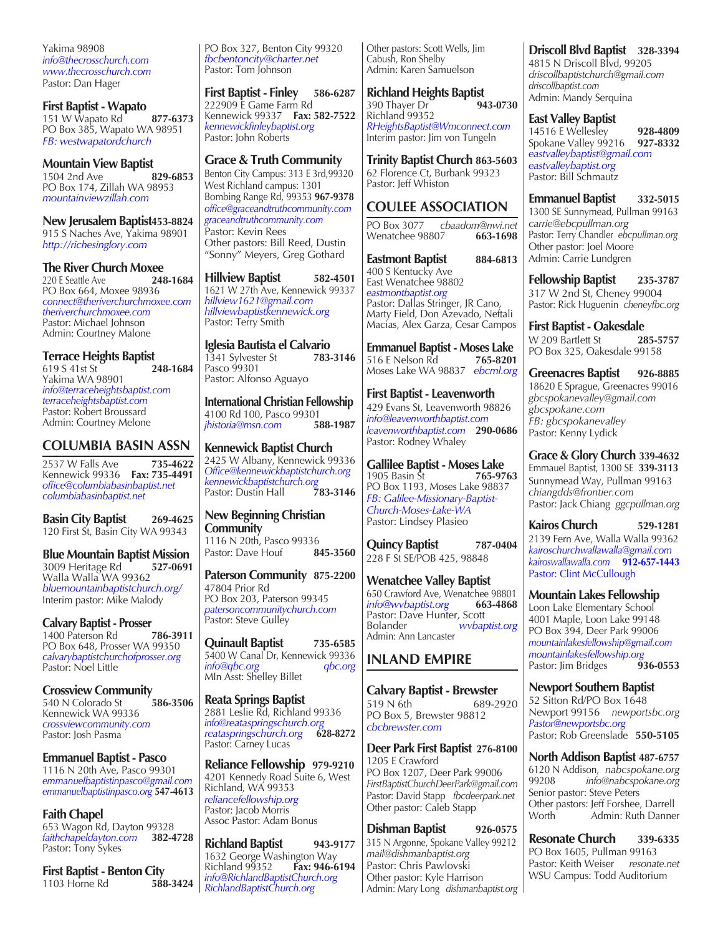Yakima 98908 *info@thecrosschurch.com www.thecrosschurch.com* Pastor: Dan Hager

**First Baptist - Wapato** 151 W Wapato Rd **877-6373** PO Box 385, Wapato WA 98951 *FB: westwapatordchurch* 

**Mountain View Baptist**<br>1504 2nd Ave **829-6853** 1504 2nd Ave PO Box 174, Zillah WA 98953 *mountainviewzillah.com*

**New Jerusalem Baptist453-8824** 915 S Naches Ave, Yakima 98901 *http://richesinglory.com*

**The River Church Moxee**<br>220 E Seattle Ave 248-1684 220 E Seattle Ave PO Box 664, Moxee 98936 *connect@theriverchurchmoxee.com theriverchurchmoxee.com* Pastor: Michael Johnson Admin: Courtney Malone

**Terrace Heights Baptist**<br>619 S 41st St<br>248-1684 619 S 41st St **248-1684** Yakima WA 98901 *info@terraceheightsbaptist.com terraceheightsbaptist.com* Pastor: Robert Broussard Admin: Courtney Melone

# **COLUMBIA BASIN ASSN**

2537 W Falls Ave **735-4622** Kennewick 99336 **Fax: 735-4491** *office@columbiabasinbaptist.net columbiabasinbaptist.net*

**Basin City Baptist 269-4625** 120 First St, Basin City WA 99343

**Blue Mountain Baptist Mission** 3009 Heritage Rd **527-0691** Walla Walla WA 99362 *bluemountainbaptistchurch.org/* Interim pastor: Mike Malody

**Calvary Baptist - Prosser**<br>1400 Paterson Rd 786-3911 1400 Paterson Rd PO Box 648, Prosser WA 99350 *calvarybaptistchurchofprosser.org* Pastor: Noel Little

**Crossview Community** 540 N Colorado St **586-3506** Kennewick WA 99336 *crossviewcommunity.com* Pastor: Josh Pasma

**Emmanuel Baptist - Pasco** 1116 N 20th Ave, Pasco 99301 *emmanuelbaptistinpasco@gmail.com emmanuelbaptistinpasco.org* **547-4613**

**Faith Chapel**  653 Wagon Rd, Dayton 99328<br>faithchapeldayton.com 382-4728 *faithchapeldayton.com* **382-4728** Pastor: Tony Sykes

**First Baptist - Benton City**<br>1103 Horne Rd<br>588-3424 1103 Horne Rd

PO Box 327, Benton City 99320 *fbcbentoncity@charter.net* Pastor: Tom Johnson

**First Baptist - Finley 586-6287** 222909 E Game Farm Rd Kennewick 99337 **Fax: 582-7522** *kennewickfinleybaptist.org*  Pastor: John Roberts

#### **Grace & Truth Community**

Benton City Campus: 313 E 3rd,99320 West Richland campus: 1301 Bombing Range Rd, 99353 **967-9378** *office@graceandtruthcommunity.com graceandtruthcommunity.com* Pastor: Kevin Rees Other pastors: Bill Reed, Dustin "Sonny" Meyers, Greg Gothard

**Hillview Baptist 582-4501** 1621 W 27th Ave, Kennewick 99337 *hillview1621@gmail.com hillviewbaptistkennewick.org* Pastor: Terry Smith

**Iglesia Bautista el Calvario** 1341 Sylvester St Pasco 99301 Pastor: Alfonso Aguayo

**International Christian Fellowship**  4100 Rd 100, Pasco 99301<br>
ihistoria@msn.com 588-1987 *jhistoria@msn.com* **588-1987** 

**Kennewick Baptist Church** 2425 W Albany, Kennewick 99336<br>Office@kennewickbaptistchurch.org *Office@kennewickbaptistchurch.org kennewickbaptistchurch.org* Pastor: Dustin Hall **783-3146**

**New Beginning Christian Community**  1116 N 20th, Pasco 99336<br>Pastor: Dave Houf **845-3560** Pastor: Dave Houf

**Paterson Community 875-2200** 47804 Prior Rd PO Box 203, Paterson 99345 *patersoncommunitychurch.com* Pastor: Steve Gulley

**Quinault Baptist 735-6585** 5400 W Canal Dr, Kennewick 99336<br>info@gbc.org gbc.org *info@qbc.org qbc.org* MIn Asst: Shelley Billet

**Reata Springs Baptist** 2881 Leslie Rd, Richland 99336 *info@reataspringschurch.org reataspringschurch.org* **628-8272** Pastor: Carney Lucas

**Reliance Fellowship 979-9210** 4201 Kennedy Road Suite 6, West Richland, WA 99353 *reliancefellowship.org*  Pastor: Jacob Morris Assoc Pastor: Adam Bonus

**Richland Baptist 943-9177** 1632 George Washington Way<br>Richland 99352 Fax: 946-6194 **Richland 99352** *info@RichlandBaptistChurch.org RichlandBaptistChurch.org*

Other pastors: Scott Wells, Jim Cabush, Ron Shelby Admin: Karen Samuelson

**Richland Heights Baptist**<br>390 Thayer Dr (1943-0730) 390 Thayer Dr Richland 99352 *RHeightsBaptist@Wmconnect.com* Interim pastor: Jim von Tungeln

**Trinity Baptist Church 863-5603** 62 Florence Ct, Burbank 99323 Pastor: Jeff Whiston

# **COULEE ASSOCIATION**

PO Box 3077 *cbaadom@nwi.net* Wenatchee 98807

Eastmont Baptist 884-6813 400 S Kentucky Ave East Wenatchee 98802 *eastmontbaptist.org* Pastor: Dallas Stringer, JR Cano, Marty Field, Don Azevado, Neftali Macias, Alex Garza, Cesar Campos

**Emmanuel Baptist - Moses Lake**<br>516 E Nelson Rd 765-8201 516 E Nelson Rd Moses Lake WA 98837 *ebcml.org*

**First Baptist - Leavenworth**  429 Evans St, Leavenworth 98826 *info@leavenworthbaptist.com leavenworthbaptist.com* **290-0686** Pastor: Rodney Whaley

**Gallilee Baptist - Moses Lake**<br>1905 Basin St **765-9763** 1905 Basin St PO Box 1193, Moses Lake 98837 *FB: Galilee-Missionary-Baptist-Church-Moses-Lake-WA* Pastor: Lindsey Plasieo

**Quincy Baptist** 787-0404 228 F St SE/POB 425, 98848

**Wenatchee Valley Baptist**  650 Crawford Ave, Wenatchee 98801<br>
info@wybaptist.org 663-4868  $info@wvbaptist.org$ Pastor: Dave Hunter, Scott<br>Bolander *wybar* Bolander *wvbaptist.org* Admin: Ann Lancaster

# **INLAND EMPIRE**

**Calvary Baptist - Brewster**  519 N 6th 689-2920 PO Box 5, Brewster 98812 *cbcbrewster.com*

**Deer Park First Baptist 276-8100** 1205 E Crawford PO Box 1207, Deer Park 99006 *FirstBaptistChurchDeerPark@gmail.com* Pastor: David Stapp *fbcdeerpark.net* Other pastor: Caleb Stapp

**Dishman Baptist 926-0575** 315 N Argonne, Spokane Valley 99212 *mail@dishmanbaptist.org* Pastor: Chris Pawlovski Other pastor: Kyle Harrison Admin: Mary Long *dishmanbaptist.org*

**Driscoll Blvd Baptist 328-3394**

4815 N Driscoll Blvd, 99205 *driscollbaptistchurch@gmail.com driscollbaptist.com* Admin: Mandy Serquina

#### **East Valley Baptist**

14516 E Wellesley **928-4809**  Spokane Valley 99216 **927-8332** *eastvalleybaptist@gmail.com eastvalleybaptist.org* Pastor: Bill Schmautz

**Emmanuel Baptist 332-5015** 1300 SE Sunnymead*,* Pullman 99163 *carrie@ebcpullman.org* Pastor: Terry Chandler *ebcpullman.org* Other pastor: Joel Moore Admin: Carrie Lundgren

**Fellowship Baptist 235-3787** 317 W 2nd St, Cheney 99004 Pastor: Rick Huguenin *cheneyfbc.org*

**First Baptist - Oakesdale** W 209 Bartlett St **285-5757** PO Box 325, Oakesdale 99158

**Greenacres Baptist 926-8885** 18620 E Sprague, Greenacres 99016 *gbcspokanevalley@gmail.com gbcspokane.com FB: gbcspokanevalley* Pastor: Kenny Lydick

**Grace & Glory Church 339-4632** Emmauel Baptist, 1300 SE **339-3113** Sunnymead Way, Pullman 99163 *chiangdds@frontier.com* Pastor: Jack Chiang *ggcpullman.org*

**Kairos Church 529-1281** 2139 Fern Ave, Walla Walla 99362 *kairoschurchwallawalla@gmail.com kairoswallawalla.com* **912-657-1443**  Pastor: Clint McCullough

**Mountain Lakes Fellowship** Loon Lake Elementary School 4001 Maple, Loon Lake 99148 PO Box 394, Deer Park 99006 *mountainlakesfellowship@gmail.com mountainlakesfellowship.org* Pastor: Jim Bridges **936-0553**

**Newport Southern Baptist**  52 Sitton Rd/PO Box 1648 Newport 99156 *newportsbc.org Pastor@newportsbc.org* Pastor: Rob Greenslade **550-5105**

**North Addison Baptist 487-6757** 6120 N Addison, *nabcspokane.org* 99208 *info@nabcspokane.org* Senior pastor: Steve Peters Other pastors: Jeff Forshee, Darrell Worth **Admin: Ruth Danner** 

**Resonate Church 339-6335** PO Box 1605, Pullman 99163 Pastor: Keith Weiser *resonate.net* WSU Campus: Todd Auditorium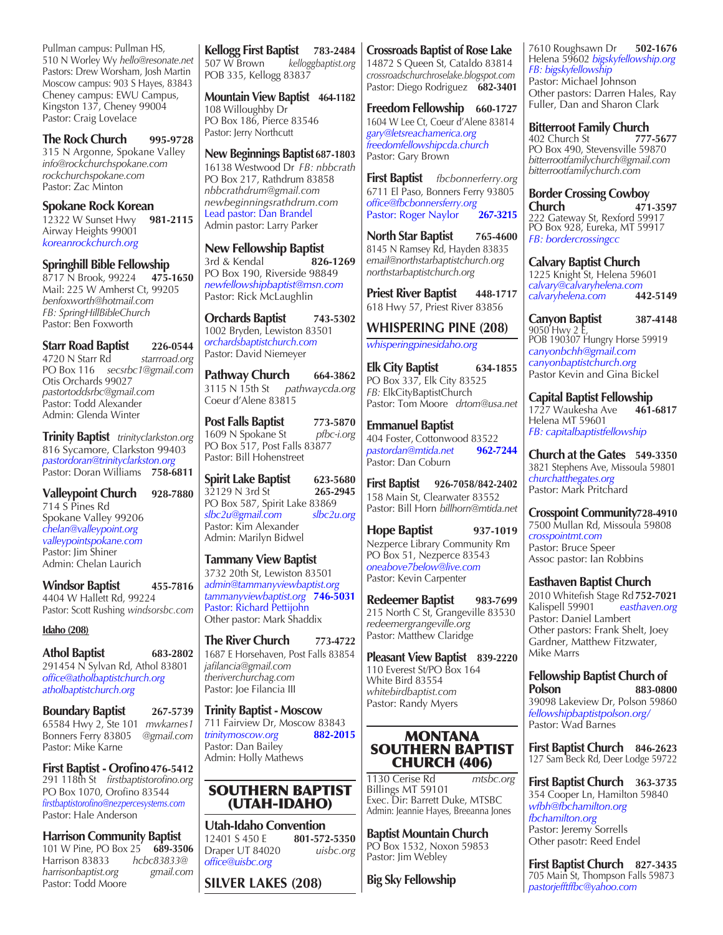Pullman campus: Pullman HS, 510 N Worley Wy *hello@resonate.net* Pastors: Drew Worsham, Josh Martin Moscow campus: 903 S Hayes, 83843 Cheney campus: EWU Campus, Kingston 137, Cheney 99004 Pastor: Craig Lovelace

**The Rock Church 995-9728** 315 N Argonne, Spokane Valley *info@rockchurchspokane.com rockchurchspokane.com* Pastor: Zac Minton

**Spokane Rock Korean**<br>12322 W Sunset Hwy 981-2115 12322 W Sunset Hwy **981-2115** Airway Heights 99001 *koreanrockchurch.org*

**Springhill Bible Fellowship** 8717 N Brook, 99224 **475-1650**

Mail: 225 W Amherst Ct, 99205 *benfoxworth@hotmail.com FB: SpringHillBibleChurch* Pastor: Ben Foxworth

**Starr Road Baptist** 226-0544<br>4720 N Starr Rd *starrroad.org* 4720 N Starr Rd PO Box 116 *secsrbc1@gmail.com* Otis Orchards 99027 *pastortoddsrbc@gmail.com* Pastor: Todd Alexander Admin: Glenda Winter

**Trinity Baptist** *trinityclarkston.org*  816 Sycamore, Clarkston 99403 *pastordoran@trinityclarkston.org* Pastor: Doran Williams **758-6811**

**Valleypoint Church 928-7880** 714 S Pines Rd Spokane Valley 99206 *chelan@valleypoint.org valleypointspokane.com* Pastor: Jim Shiner Admin: Chelan Laurich

**Windsor Baptist 455-7816** 4404 W Hallett Rd, 99224 Pastor: Scott Rushing *windsorsbc.com*

#### **Idaho (208)**

**Athol Baptist 683-2802**

291454 N Sylvan Rd, Athol 83801 *office@atholbaptistchurch.org atholbaptistchurch.org*

**Boundary Baptist 267-5739** 65584 Hwy 2, Ste 101 *mwkarnes1* Bonners Ferry 83805*@gmail.com* Pastor: Mike Karne

**First Baptist - Orofino476-5412** 291 118th St *firstbaptistorofino.org* PO Box 1070, Orofino 83544 *firstbaptistorofino@nezpercesystems.com* Pastor: Hale Anderson

**Harrison Community Baptist** 101 W Pine, PO Box 25 **689-3506** Harrison 83833 *hcbc83833@ harrisonbaptist.org gmail.com*  Pastor: Todd Moore

**Kellogg First Baptist 783-2484** 507 W Brown *kelloggbaptist.org* POB 335, Kellogg 83837

**Mountain View Baptist 464-1182** 108 Willoughby Dr PO Box 186, Pierce 83546 Pastor: Jerry Northcutt

**New Beginnings Baptist 687-1803** 16138 Westwood Dr *FB: nbbcrath* PO Box 217, Rathdrum 83858 *nbbcrathdrum@gmail.com newbeginningsrathdrum.com* Lead pastor: Dan Brandel Admin pastor: Larry Parker

**New Fellowship Baptist**  3rd & Kendal **826-1269** PO Box 190, Riverside 98849 *newfellowshipbaptist@msn.com* Pastor: Rick McLaughlin

**Orchards Baptist 743-5302** 1002 Bryden, Lewiston 83501 *orchardsbaptistchurch.com* Pastor: David Niemeyer

**Pathway Church 664-3862** 3115 N 15th St *pathwaycda.org* Coeur d'Alene 83815

**Post Falls Baptist** 773-5870<br>1609 N Spokane St pfbc-i.org 1609 N Spokane St PO Box 517, Post Falls 83877 Pastor: Bill Hohenstreet

**Spirit Lake Baptist 623-5680**<br>32129 N 3rd St **265-2945** 32129 N 3rd St PO Box 587, Spirit Lake 83869<br>slbc2u@gmail.com slbc2u.org slbc2u@gmail.com Pastor: Kim Alexander Admin: Marilyn Bidwel

**Tammany View Baptist** 3732 20th St, Lewiston 83501 *admin@tammanyviewbaptist.org tammanyviewbaptist.org*  **746-5031** Pastor: Richard Pettijohn Other pastor: Mark Shaddix

**The River Church 773-4722** 1687 E Horsehaven, Post Falls 83854 *jafilancia@gmail.com theriverchurchag.com* Pastor: Joe Filancia III

**Trinity Baptist - Moscow**  711 Fairview Dr, Moscow 83843 *trinitymoscow.org* **882-2015** Pastor: Dan Bailey Admin: Holly Mathews

# SOUTHERN BAPTIST (UTAH-IDAHO)

**Utah-Idaho Convention** 12401 S 450 E **801-572-5350** Draper UT 84020 *office@uisbc.org* 

**SILVER LAKES (208)**

**Crossroads Baptist of Rose Lake** 14872 S Queen St, Cataldo 83814 *crossroadschurchroselake.blogspot.com* Pastor: Diego Rodriguez **682-3401**

**Freedom Fellowship 660-1727** 1604 W Lee Ct, Coeur d'Alene 83814 *gary@letsreachamerica.org freedomfellowshipcda.church* Pastor: Gary Brown

**First Baptist** *fbcbonnerferry.org* 6711 El Paso, Bonners Ferry 93805 *office@fbcbonnersferry.org* Pastor: Roger Naylor **267-3215**

**North Star Baptist 765-4600** 8145 N Ramsey Rd, Hayden 83835 *email@northstarbaptistchurch.org northstarbaptistchurch.org*

**Priest River Baptist 448-1717** 618 Hwy 57, Priest River 83856

**WHISPERING PINE (208)**

*whisperingpinesidaho.org*

**Elk City Baptist 634-1855** PO Box 337, Elk City 83525 *FB:* ElkCityBaptistChurch Pastor: Tom Moore *drtom@usa.net*

**Emmanuel Baptist** 404 Foster, Cottonwood 83522 *pastordan@mtida.net* **962-7244**  Pastor: Dan Coburn

**First Baptist 926-7058/842-2402** 158 Main St, Clearwater 83552 Pastor: Bill Horn *billhorn@mtida.net*

**Hope Baptist 937-1019** Nezperce Library Community Rm PO Box 51, Nezperce 83543 *oneabove7below@live.com* Pastor: Kevin Carpenter

**Redeemer Baptist 983-7699** 215 North C St, Grangeville 83530 *redeemergrangeville.org* Pastor: Matthew Claridge

**Pleasant View Baptist 839-2220**  110 Everest St/PO Box 164 White Bird 83554 *whitebirdbaptist.com* Pastor: Randy Myers

## **MONTANA** SOUTHERN BAPTIST CHURCH (406)

1130 Cerise Rd *mtsbc.org* Billings MT 59101 Exec. Dir: Barrett Duke, MTSBC Admin: Jeannie Hayes, Breeanna Jones

**Baptist Mountain Church** PO Box 1532, Noxon 59853 Pastor: Jim Webley

**Big Sky Fellowship**

7610 Roughsawn Dr **502-1676** Helena 59602 *bigskyfellowship.org FB: bigskyfellowship* Pastor: Michael Johnson Other pastors: Darren Hales, Ray Fuller, Dan and Sharon Clark

**Bitterroot Family Church**<br>402 Church St 777-5677 402 Church St **777-5677** PO Box 490, Stevensville 59870 *bitterrootfamilychurch@gmail.com bitterrootfamilychurch.com*

**Border Crossing Cowboy Church 471-3597** 222 Gateway St, Rexford 59917 PO Box 928, Eureka, MT 59917 *FB: bordercrossingcc*

**Calvary Baptist Church**

1225 Knight St, Helena 59601 *calvary@calvaryhelena.com calvaryhelena.com* **442-5149**

**Canyon Baptist 387-4148** 9050 Hwy 2 E, POB 190307 Hungry Horse 59919 *canyonbchh@gmail.com canyonbaptistchurch.org* Pastor Kevin and Gina Bickel

**Capital Baptist Fellowship** 1727 Waukesha Ave **461-6817** Helena MT 59601 *FB: capitalbaptistfellowship*

**Church at the Gates 549-3350** 3821 Stephens Ave, Missoula 59801 *churchatthegates.org* Pastor: Mark Pritchard

**Crosspoint Community728-4910** 7500 Mullan Rd, Missoula 59808 *crosspointmt.com* Pastor: Bruce Speer Assoc pastor: Ian Robbins

**Easthaven Baptist Church**

2010 Whitefish Stage Rd **752-7021** Kalispell 59901 *easthaven.org* Pastor: Daniel Lambert Other pastors: Frank Shelt, Joey Gardner, Matthew Fitzwater, Mike Marrs

**Fellowship Baptist Church of Polson 883-0800** 39098 Lakeview Dr, Polson 59860 *fellowshipbaptistpolson.org/* Pastor: Wad Barnes

**First Baptist Church 846-2623** 127 Sam Beck Rd, Deer Lodge 59722

**First Baptist Church 363-3735** 354 Cooper Ln, Hamilton 59840 *wfbh@fbchamilton.org fbchamilton.org* Pastor: Jeremy Sorrells Other pasotr: Reed Endel

**First Baptist Church 827-3435** 705 Main St, Thompson Falls 59873 *pastorjefftffbc@yahoo.com*